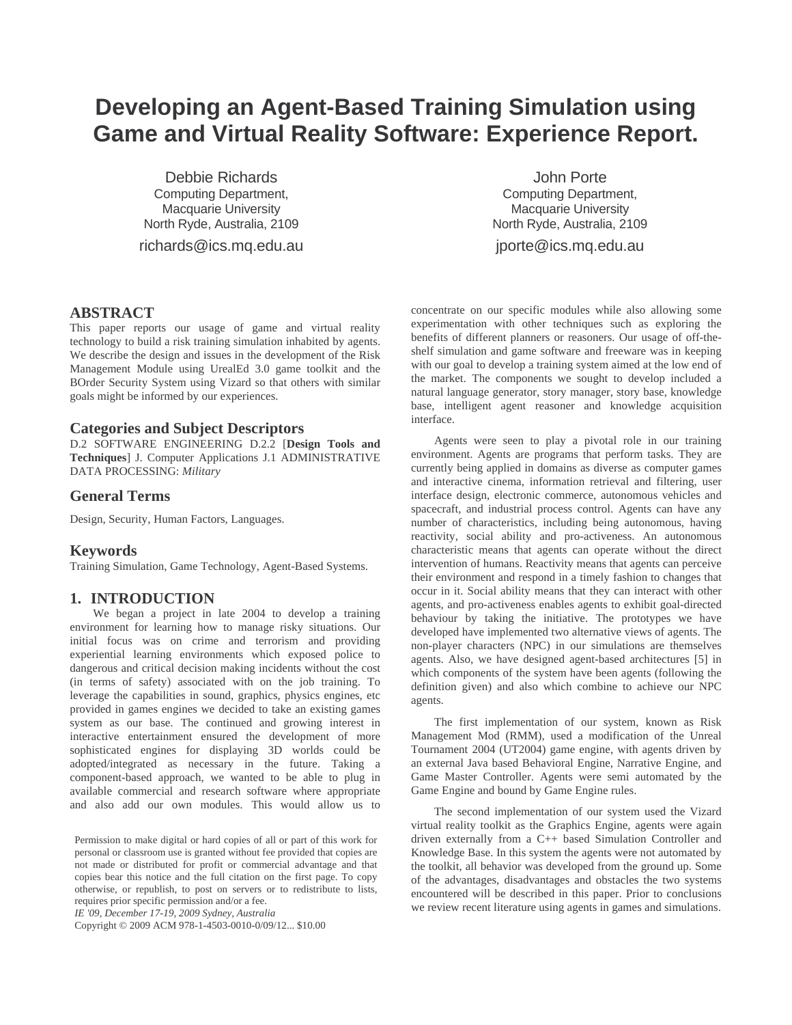# **Developing an Agent-Based Training Simulation using Game and Virtual Reality Software: Experience Report.**

Debbie Richards Computing Department, Macquarie University North Ryde, Australia, 2109 richards@ics.mq.edu.au

**ABSTRACT**

This paper reports our usage of game and virtual reality technology to build a risk training simulation inhabited by agents. We describe the design and issues in the development of the Risk Management Module using UrealEd 3.0 game toolkit and the BOrder Security System using Vizard so that others with similar goals might be informed by our experiences.

## **Categories and Subject Descriptors**

D.2 SOFTWARE ENGINEERING D.2.2 [**Design Tools and Techniques**] J. Computer Applications J.1 ADMINISTRATIVE DATA PROCESSING: *Military*

### **General Terms**

Design, Security, Human Factors, Languages.

### **Keywords**

Training Simulation, Game Technology, Agent-Based Systems.

## **1. INTRODUCTION**

We began a project in late 2004 to develop a training environment for learning how to manage risky situations. Our initial focus was on crime and terrorism and providing experiential learning environments which exposed police to dangerous and critical decision making incidents without the cost (in terms of safety) associated with on the job training. To leverage the capabilities in sound, graphics, physics engines, etc provided in games engines we decided to take an existing games system as our base. The continued and growing interest in interactive entertainment ensured the development of more sophisticated engines for displaying 3D worlds could be adopted/integrated as necessary in the future. Taking a component-based approach, we wanted to be able to plug in available commercial and research software where appropriate and also add our own modules. This would allow us to

Permission to make digital or hard copies of all or part of this work for personal or classroom use is granted without fee provided that copies are not made or distributed for profit or commercial advantage and that copies bear this notice and the full citation on the first page. To copy otherwise, or republish, to post on servers or to redistribute to lists, requires prior specific permission and/or a fee.

*IE '09, December 17-19, 2009 Sydney, Australia* 

Copyright © 2009 ACM 978-1-4503-0010-0/09/12... \$10.00

John Porte Computing Department, Macquarie University North Ryde, Australia, 2109 jporte@ics.mq.edu.au

concentrate on our specific modules while also allowing some experimentation with other techniques such as exploring the benefits of different planners or reasoners. Our usage of off-theshelf simulation and game software and freeware was in keeping with our goal to develop a training system aimed at the low end of the market. The components we sought to develop included a natural language generator, story manager, story base, knowledge base, intelligent agent reasoner and knowledge acquisition interface.

Agents were seen to play a pivotal role in our training environment. Agents are programs that perform tasks. They are currently being applied in domains as diverse as computer games and interactive cinema, information retrieval and filtering, user interface design, electronic commerce, autonomous vehicles and spacecraft, and industrial process control. Agents can have any number of characteristics, including being autonomous, having reactivity, social ability and pro-activeness. An autonomous characteristic means that agents can operate without the direct intervention of humans. Reactivity means that agents can perceive their environment and respond in a timely fashion to changes that occur in it. Social ability means that they can interact with other agents, and pro-activeness enables agents to exhibit goal-directed behaviour by taking the initiative. The prototypes we have developed have implemented two alternative views of agents. The non-player characters (NPC) in our simulations are themselves agents. Also, we have designed agent-based architectures [5] in which components of the system have been agents (following the definition given) and also which combine to achieve our NPC agents.

The first implementation of our system, known as Risk Management Mod (RMM), used a modification of the Unreal Tournament 2004 (UT2004) game engine, with agents driven by an external Java based Behavioral Engine, Narrative Engine, and Game Master Controller. Agents were semi automated by the Game Engine and bound by Game Engine rules.

The second implementation of our system used the Vizard virtual reality toolkit as the Graphics Engine, agents were again driven externally from a C++ based Simulation Controller and Knowledge Base. In this system the agents were not automated by the toolkit, all behavior was developed from the ground up. Some of the advantages, disadvantages and obstacles the two systems encountered will be described in this paper. Prior to conclusions we review recent literature using agents in games and simulations.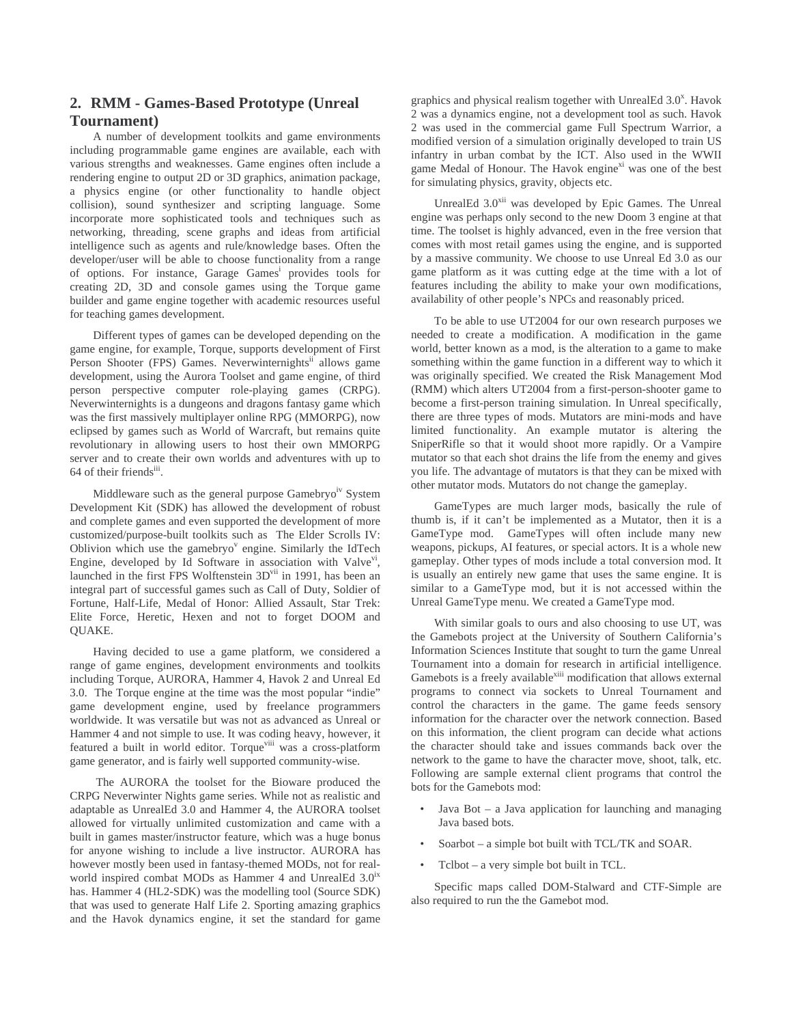# **2. RMM - Games-Based Prototype (Unreal Tournament)**

A number of development toolkits and game environments including programmable game engines are available, each with various strengths and weaknesses. Game engines often include a rendering engine to output 2D or 3D graphics, animation package, a physics engine (or other functionality to handle object collision), sound synthesizer and scripting language. Some incorporate more sophisticated tools and techniques such as networking, threading, scene graphs and ideas from artificial intelligence such as agents and rule/knowledge bases. Often the developer/user will be able to choose functionality from a range of options. For instance, Garage Games<sup>i</sup> provides tools for creating 2D, 3D and console games using the Torque game builder and game engine together with academic resources useful for teaching games development.

Different types of games can be developed depending on the game engine, for example, Torque, supports development of First Person Shooter (FPS) Games. Neverwinternights<sup>ii</sup> allows game development, using the Aurora Toolset and game engine, of third person perspective computer role-playing games (CRPG). Neverwinternights is a dungeons and dragons fantasy game which was the first massively multiplayer online RPG (MMORPG), now eclipsed by games such as World of Warcraft, but remains quite revolutionary in allowing users to host their own MMORPG server and to create their own worlds and adventures with up to 64 of their friends<sup>iii</sup> .

Middleware such as the general purpose Gamebryo<sup>iv</sup> System Development Kit (SDK) has allowed the development of robust and complete games and even supported the development of more customized/purpose-built toolkits such as The Elder Scrolls IV: Oblivion which use the gamebryo<sup>v</sup> engine. Similarly the IdTech Engine, developed by Id Software in association with Valve<sup>vi</sup>, launched in the first FPS Wolftenstein 3D<sup>vii</sup> in 1991, has been an integral part of successful games such as Call of Duty, Soldier of Fortune, Half-Life, Medal of Honor: Allied Assault, Star Trek: Elite Force, Heretic, Hexen and not to forget DOOM and QUAKE.

Having decided to use a game platform, we considered a range of game engines, development environments and toolkits including Torque, AURORA, Hammer 4, Havok 2 and Unreal Ed 3.0. The Torque engine at the time was the most popular "indie" game development engine, used by freelance programmers worldwide. It was versatile but was not as advanced as Unreal or Hammer 4 and not simple to use. It was coding heavy, however, it featured a built in world editor. Torque<sup>viii</sup> was a cross-platform game generator, and is fairly well supported community-wise.

 The AURORA the toolset for the Bioware produced the CRPG Neverwinter Nights game series. While not as realistic and adaptable as UnrealEd 3.0 and Hammer 4, the AURORA toolset allowed for virtually unlimited customization and came with a built in games master/instructor feature, which was a huge bonus for anyone wishing to include a live instructor. AURORA has however mostly been used in fantasy-themed MODs, not for realworld inspired combat MODs as Hammer 4 and UnrealEd  $3.0<sup>ix</sup>$ has. Hammer 4 (HL2-SDK) was the modelling tool (Source SDK) that was used to generate Half Life 2. Sporting amazing graphics and the Havok dynamics engine, it set the standard for game

graphics and physical realism together with UnrealEd 3.0<sup>x</sup>. Havok 2 was a dynamics engine, not a development tool as such. Havok 2 was used in the commercial game Full Spectrum Warrior, a modified version of a simulation originally developed to train US infantry in urban combat by the ICT. Also used in the WWII game Medal of Honour. The Havok engine<sup>xi</sup> was one of the best for simulating physics, gravity, objects etc.

UnrealEd 3.0<sup>xii</sup> was developed by Epic Games. The Unreal engine was perhaps only second to the new Doom 3 engine at that time. The toolset is highly advanced, even in the free version that comes with most retail games using the engine, and is supported by a massive community. We choose to use Unreal Ed 3.0 as our game platform as it was cutting edge at the time with a lot of features including the ability to make your own modifications, availability of other people's NPCs and reasonably priced.

To be able to use UT2004 for our own research purposes we needed to create a modification. A modification in the game world, better known as a mod, is the alteration to a game to make something within the game function in a different way to which it was originally specified. We created the Risk Management Mod (RMM) which alters UT2004 from a first-person-shooter game to become a first-person training simulation. In Unreal specifically, there are three types of mods. Mutators are mini-mods and have limited functionality. An example mutator is altering the SniperRifle so that it would shoot more rapidly. Or a Vampire mutator so that each shot drains the life from the enemy and gives you life. The advantage of mutators is that they can be mixed with other mutator mods. Mutators do not change the gameplay.

GameTypes are much larger mods, basically the rule of thumb is, if it can't be implemented as a Mutator, then it is a GameType mod. GameTypes will often include many new weapons, pickups, AI features, or special actors. It is a whole new gameplay. Other types of mods include a total conversion mod. It is usually an entirely new game that uses the same engine. It is similar to a GameType mod, but it is not accessed within the Unreal GameType menu. We created a GameType mod.

With similar goals to ours and also choosing to use UT, was the Gamebots project at the University of Southern California's Information Sciences Institute that sought to turn the game Unreal Tournament into a domain for research in artificial intelligence. Gamebots is a freely available<sup>xiii</sup> modification that allows external programs to connect via sockets to Unreal Tournament and control the characters in the game. The game feeds sensory information for the character over the network connection. Based on this information, the client program can decide what actions the character should take and issues commands back over the network to the game to have the character move, shoot, talk, etc. Following are sample external client programs that control the bots for the Gamebots mod:

- Java Bot  $-$  a Java application for launching and managing Java based bots.
- Soarbot a simple bot built with TCL/TK and SOAR.
- Tclbot a very simple bot built in TCL.

Specific maps called DOM-Stalward and CTF-Simple are also required to run the the Gamebot mod.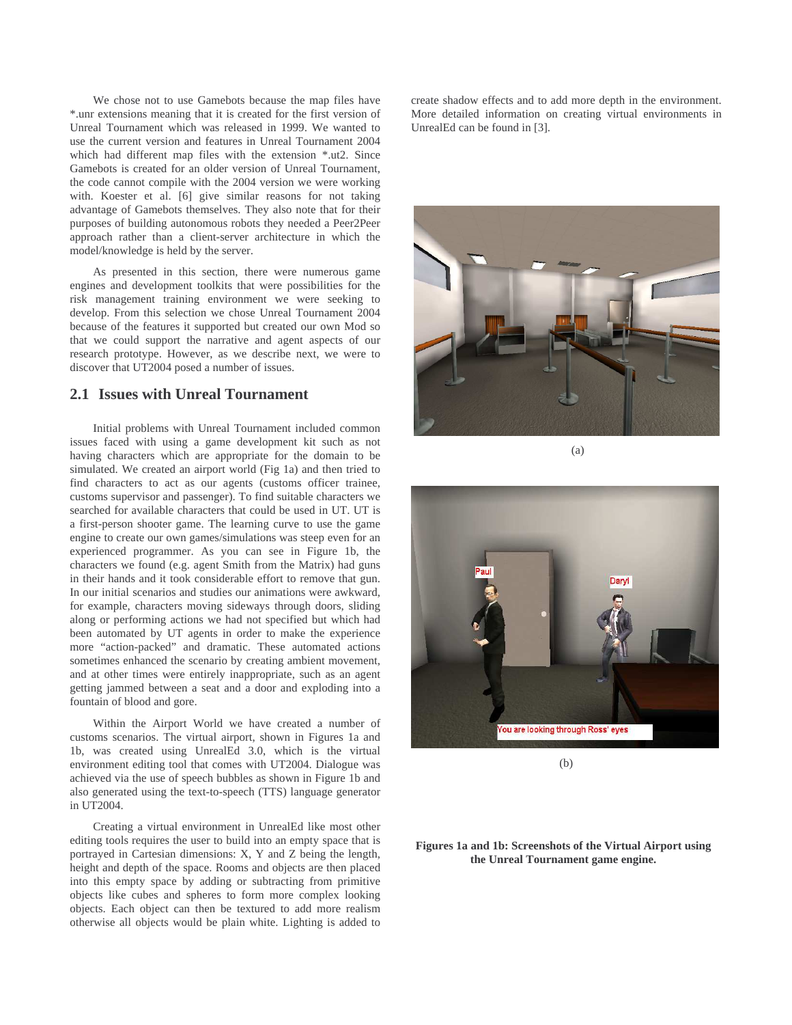We chose not to use Gamebots because the map files have \*.unr extensions meaning that it is created for the first version of Unreal Tournament which was released in 1999. We wanted to use the current version and features in Unreal Tournament 2004 which had different map files with the extension \*.ut2. Since Gamebots is created for an older version of Unreal Tournament, the code cannot compile with the 2004 version we were working with. Koester et al. [6] give similar reasons for not taking advantage of Gamebots themselves. They also note that for their purposes of building autonomous robots they needed a Peer2Peer approach rather than a client-server architecture in which the model/knowledge is held by the server.

As presented in this section, there were numerous game engines and development toolkits that were possibilities for the risk management training environment we were seeking to develop. From this selection we chose Unreal Tournament 2004 because of the features it supported but created our own Mod so that we could support the narrative and agent aspects of our research prototype. However, as we describe next, we were to discover that UT2004 posed a number of issues.

## **2.1 Issues with Unreal Tournament**

Initial problems with Unreal Tournament included common issues faced with using a game development kit such as not having characters which are appropriate for the domain to be simulated. We created an airport world (Fig 1a) and then tried to find characters to act as our agents (customs officer trainee, customs supervisor and passenger). To find suitable characters we searched for available characters that could be used in UT. UT is a first-person shooter game. The learning curve to use the game engine to create our own games/simulations was steep even for an experienced programmer. As you can see in Figure 1b, the characters we found (e.g. agent Smith from the Matrix) had guns in their hands and it took considerable effort to remove that gun. In our initial scenarios and studies our animations were awkward, for example, characters moving sideways through doors, sliding along or performing actions we had not specified but which had been automated by UT agents in order to make the experience more "action-packed" and dramatic. These automated actions sometimes enhanced the scenario by creating ambient movement, and at other times were entirely inappropriate, such as an agent getting jammed between a seat and a door and exploding into a fountain of blood and gore.

Within the Airport World we have created a number of customs scenarios. The virtual airport, shown in Figures 1a and 1b, was created using UnrealEd 3.0, which is the virtual environment editing tool that comes with UT2004. Dialogue was achieved via the use of speech bubbles as shown in Figure 1b and also generated using the text-to-speech (TTS) language generator in UT2004.

Creating a virtual environment in UnrealEd like most other editing tools requires the user to build into an empty space that is portrayed in Cartesian dimensions: X, Y and Z being the length, height and depth of the space. Rooms and objects are then placed into this empty space by adding or subtracting from primitive objects like cubes and spheres to form more complex looking objects. Each object can then be textured to add more realism otherwise all objects would be plain white. Lighting is added to

create shadow effects and to add more depth in the environment. More detailed information on creating virtual environments in UnrealEd can be found in [3].



(a)



(b)

**Figures 1a and 1b: Screenshots of the Virtual Airport using the Unreal Tournament game engine.**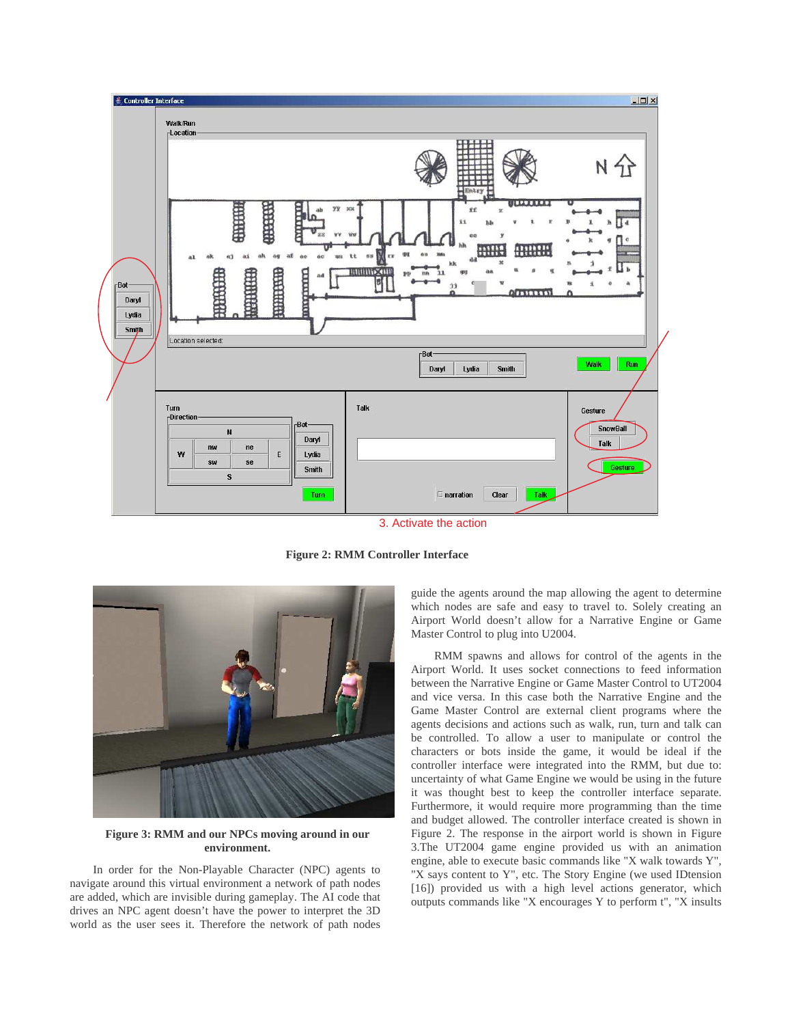

3. Activate the action

**Figure 2: RMM Controller Interface** 



**Figure 3: RMM and our NPCs moving around in our environment.** 

In order for the Non-Playable Character (NPC) agents to navigate around this virtual environment a network of path nodes are added, which are invisible during gameplay. The AI code that drives an NPC agent doesn't have the power to interpret the 3D world as the user sees it. Therefore the network of path nodes

guide the agents around the map allowing the agent to determine which nodes are safe and easy to travel to. Solely creating an Airport World doesn't allow for a Narrative Engine or Game Master Control to plug into U2004.

RMM spawns and allows for control of the agents in the Airport World. It uses socket connections to feed information between the Narrative Engine or Game Master Control to UT2004 and vice versa. In this case both the Narrative Engine and the Game Master Control are external client programs where the agents decisions and actions such as walk, run, turn and talk can be controlled. To allow a user to manipulate or control the characters or bots inside the game, it would be ideal if the controller interface were integrated into the RMM, but due to: uncertainty of what Game Engine we would be using in the future it was thought best to keep the controller interface separate. Furthermore, it would require more programming than the time and budget allowed. The controller interface created is shown in Figure 2. The response in the airport world is shown in Figure 3.The UT2004 game engine provided us with an animation engine, able to execute basic commands like "X walk towards Y", "X says content to Y", etc. The Story Engine (we used IDtension [16]) provided us with a high level actions generator, which outputs commands like "X encourages Y to perform t", "X insults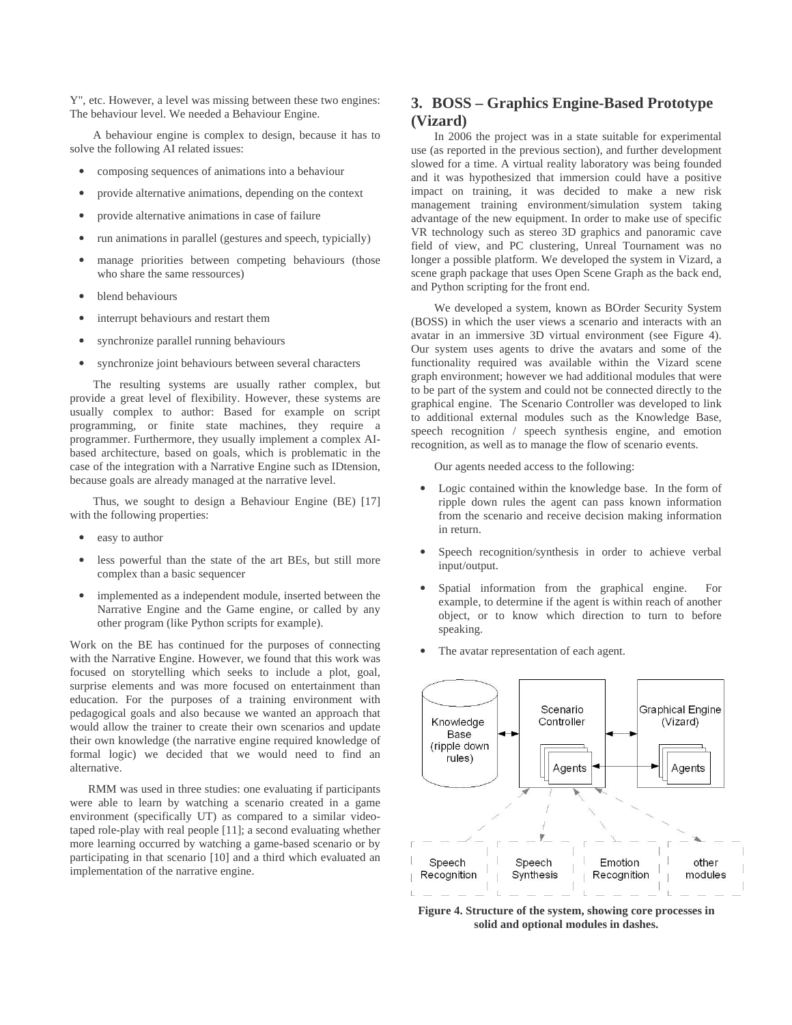Y", etc. However, a level was missing between these two engines: The behaviour level. We needed a Behaviour Engine.

A behaviour engine is complex to design, because it has to solve the following AI related issues:

- composing sequences of animations into a behaviour
- provide alternative animations, depending on the context
- provide alternative animations in case of failure
- run animations in parallel (gestures and speech, typicially)
- manage priorities between competing behaviours (those who share the same ressources)
- blend behaviours
- interrupt behaviours and restart them
- synchronize parallel running behaviours
- synchronize joint behaviours between several characters

The resulting systems are usually rather complex, but provide a great level of flexibility. However, these systems are usually complex to author: Based for example on script programming, or finite state machines, they require a programmer. Furthermore, they usually implement a complex AIbased architecture, based on goals, which is problematic in the case of the integration with a Narrative Engine such as IDtension, because goals are already managed at the narrative level.

Thus, we sought to design a Behaviour Engine (BE) [17] with the following properties:

- easy to author
- less powerful than the state of the art BEs, but still more complex than a basic sequencer
- implemented as a independent module, inserted between the Narrative Engine and the Game engine, or called by any other program (like Python scripts for example).

Work on the BE has continued for the purposes of connecting with the Narrative Engine. However, we found that this work was focused on storytelling which seeks to include a plot, goal, surprise elements and was more focused on entertainment than education. For the purposes of a training environment with pedagogical goals and also because we wanted an approach that would allow the trainer to create their own scenarios and update their own knowledge (the narrative engine required knowledge of formal logic) we decided that we would need to find an alternative.

RMM was used in three studies: one evaluating if participants were able to learn by watching a scenario created in a game environment (specifically UT) as compared to a similar videotaped role-play with real people [11]; a second evaluating whether more learning occurred by watching a game-based scenario or by participating in that scenario [10] and a third which evaluated an implementation of the narrative engine.

# **3. BOSS – Graphics Engine-Based Prototype (Vizard)**

In 2006 the project was in a state suitable for experimental use (as reported in the previous section), and further development slowed for a time. A virtual reality laboratory was being founded and it was hypothesized that immersion could have a positive impact on training, it was decided to make a new risk management training environment/simulation system taking advantage of the new equipment. In order to make use of specific VR technology such as stereo 3D graphics and panoramic cave field of view, and PC clustering, Unreal Tournament was no longer a possible platform. We developed the system in Vizard, a scene graph package that uses Open Scene Graph as the back end, and Python scripting for the front end.

We developed a system, known as BOrder Security System (BOSS) in which the user views a scenario and interacts with an avatar in an immersive 3D virtual environment (see Figure 4). Our system uses agents to drive the avatars and some of the functionality required was available within the Vizard scene graph environment; however we had additional modules that were to be part of the system and could not be connected directly to the graphical engine. The Scenario Controller was developed to link to additional external modules such as the Knowledge Base, speech recognition / speech synthesis engine, and emotion recognition, as well as to manage the flow of scenario events.

Our agents needed access to the following:

- Logic contained within the knowledge base. In the form of ripple down rules the agent can pass known information from the scenario and receive decision making information in return.
- Speech recognition/synthesis in order to achieve verbal input/output.
- Spatial information from the graphical engine. For example, to determine if the agent is within reach of another object, or to know which direction to turn to before speaking.
- The avatar representation of each agent.



**Figure 4. Structure of the system, showing core processes in solid and optional modules in dashes.**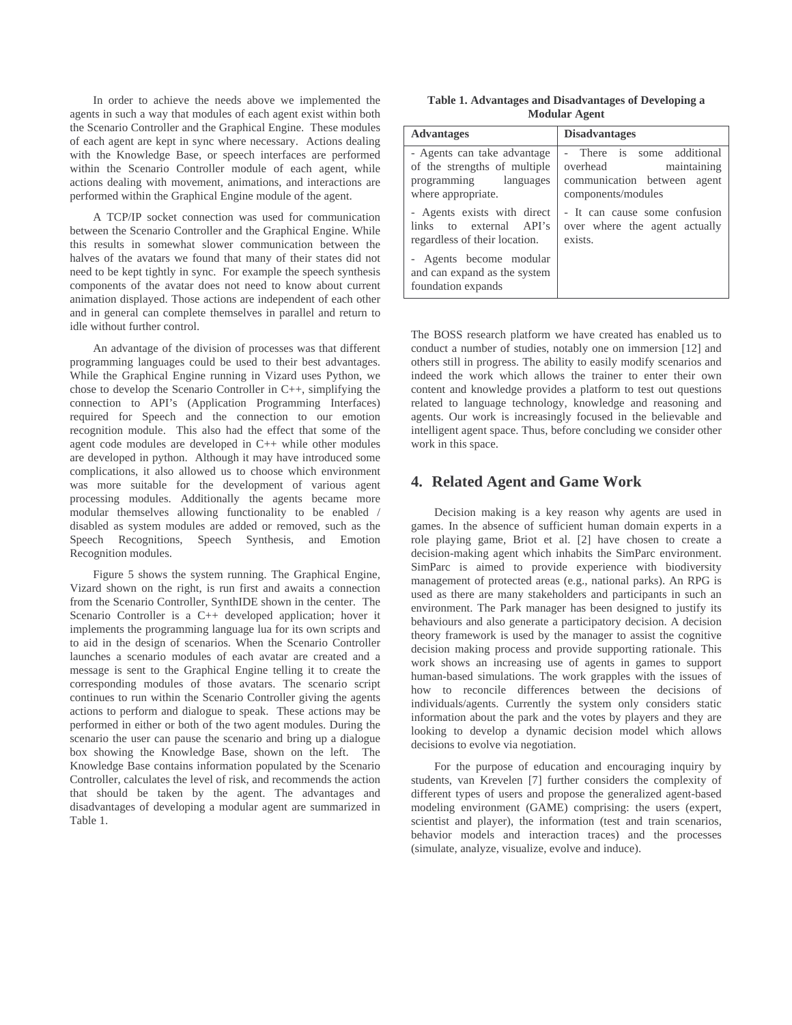In order to achieve the needs above we implemented the agents in such a way that modules of each agent exist within both the Scenario Controller and the Graphical Engine. These modules of each agent are kept in sync where necessary. Actions dealing with the Knowledge Base, or speech interfaces are performed within the Scenario Controller module of each agent, while actions dealing with movement, animations, and interactions are performed within the Graphical Engine module of the agent.

A TCP/IP socket connection was used for communication between the Scenario Controller and the Graphical Engine. While this results in somewhat slower communication between the halves of the avatars we found that many of their states did not need to be kept tightly in sync. For example the speech synthesis components of the avatar does not need to know about current animation displayed. Those actions are independent of each other and in general can complete themselves in parallel and return to idle without further control.

An advantage of the division of processes was that different programming languages could be used to their best advantages. While the Graphical Engine running in Vizard uses Python, we chose to develop the Scenario Controller in C++, simplifying the connection to API's (Application Programming Interfaces) required for Speech and the connection to our emotion recognition module. This also had the effect that some of the agent code modules are developed in C++ while other modules are developed in python. Although it may have introduced some complications, it also allowed us to choose which environment was more suitable for the development of various agent processing modules. Additionally the agents became more modular themselves allowing functionality to be enabled / disabled as system modules are added or removed, such as the Speech Recognitions, Speech Synthesis, and Emotion Recognition modules.

Figure 5 shows the system running. The Graphical Engine, Vizard shown on the right, is run first and awaits a connection from the Scenario Controller, SynthIDE shown in the center. The Scenario Controller is a C++ developed application; hover it implements the programming language lua for its own scripts and to aid in the design of scenarios. When the Scenario Controller launches a scenario modules of each avatar are created and a message is sent to the Graphical Engine telling it to create the corresponding modules of those avatars. The scenario script continues to run within the Scenario Controller giving the agents actions to perform and dialogue to speak. These actions may be performed in either or both of the two agent modules. During the scenario the user can pause the scenario and bring up a dialogue box showing the Knowledge Base, shown on the left. The Knowledge Base contains information populated by the Scenario Controller, calculates the level of risk, and recommends the action that should be taken by the agent. The advantages and disadvantages of developing a modular agent are summarized in Table 1.

**Table 1. Advantages and Disadvantages of Developing a Modular Agent** 

| <b>Advantages</b>                                                                                          | <b>Disadvantages</b>                                                                                       |
|------------------------------------------------------------------------------------------------------------|------------------------------------------------------------------------------------------------------------|
| - Agents can take advantage<br>of the strengths of multiple<br>programming languages<br>where appropriate. | - There is some additional<br>maintaining<br>overhead<br>communication between agent<br>components/modules |
| - Agents exists with direct<br>links to external API's<br>regardless of their location.                    | - It can cause some confusion<br>over where the agent actually<br>exists.                                  |
| - Agents become modular<br>and can expand as the system<br>foundation expands                              |                                                                                                            |

The BOSS research platform we have created has enabled us to conduct a number of studies, notably one on immersion [12] and others still in progress. The ability to easily modify scenarios and indeed the work which allows the trainer to enter their own content and knowledge provides a platform to test out questions related to language technology, knowledge and reasoning and agents. Our work is increasingly focused in the believable and intelligent agent space. Thus, before concluding we consider other work in this space.

### **4. Related Agent and Game Work**

Decision making is a key reason why agents are used in games. In the absence of sufficient human domain experts in a role playing game, Briot et al. [2] have chosen to create a decision-making agent which inhabits the SimParc environment. SimParc is aimed to provide experience with biodiversity management of protected areas (e.g., national parks). An RPG is used as there are many stakeholders and participants in such an environment. The Park manager has been designed to justify its behaviours and also generate a participatory decision. A decision theory framework is used by the manager to assist the cognitive decision making process and provide supporting rationale. This work shows an increasing use of agents in games to support human-based simulations. The work grapples with the issues of how to reconcile differences between the decisions of individuals/agents. Currently the system only considers static information about the park and the votes by players and they are looking to develop a dynamic decision model which allows decisions to evolve via negotiation.

For the purpose of education and encouraging inquiry by students, van Krevelen [7] further considers the complexity of different types of users and propose the generalized agent-based modeling environment (GAME) comprising: the users (expert, scientist and player), the information (test and train scenarios, behavior models and interaction traces) and the processes (simulate, analyze, visualize, evolve and induce).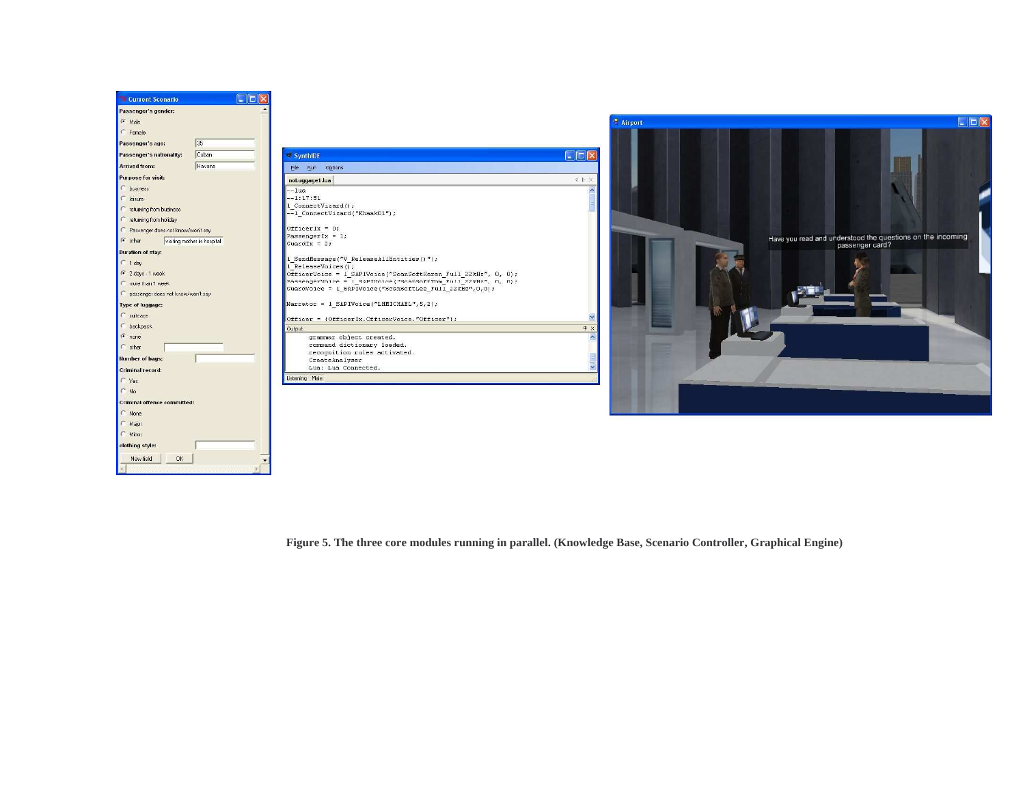

**Figure 5. The three core modules running in parallel. (Knowledge Base, Scenario Controller, Graphical Engine)**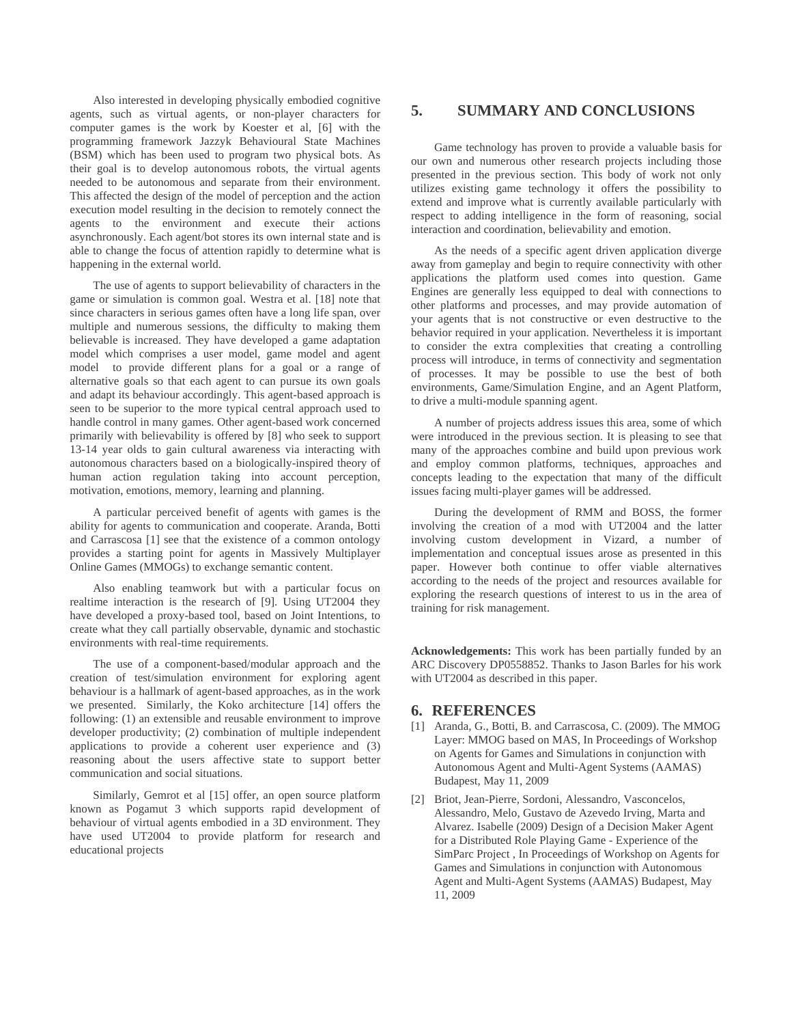Also interested in developing physically embodied cognitive agents, such as virtual agents, or non-player characters for computer games is the work by Koester et al, [6] with the programming framework Jazzyk Behavioural State Machines (BSM) which has been used to program two physical bots. As their goal is to develop autonomous robots, the virtual agents needed to be autonomous and separate from their environment. This affected the design of the model of perception and the action execution model resulting in the decision to remotely connect the agents to the environment and execute their actions asynchronously. Each agent/bot stores its own internal state and is able to change the focus of attention rapidly to determine what is happening in the external world.

The use of agents to support believability of characters in the game or simulation is common goal. Westra et al. [18] note that since characters in serious games often have a long life span, over multiple and numerous sessions, the difficulty to making them believable is increased. They have developed a game adaptation model which comprises a user model, game model and agent model to provide different plans for a goal or a range of alternative goals so that each agent to can pursue its own goals and adapt its behaviour accordingly. This agent-based approach is seen to be superior to the more typical central approach used to handle control in many games. Other agent-based work concerned primarily with believability is offered by [8] who seek to support 13-14 year olds to gain cultural awareness via interacting with autonomous characters based on a biologically-inspired theory of human action regulation taking into account perception, motivation, emotions, memory, learning and planning.

A particular perceived benefit of agents with games is the ability for agents to communication and cooperate. Aranda, Botti and Carrascosa [1] see that the existence of a common ontology provides a starting point for agents in Massively Multiplayer Online Games (MMOGs) to exchange semantic content.

Also enabling teamwork but with a particular focus on realtime interaction is the research of [9]. Using UT2004 they have developed a proxy-based tool, based on Joint Intentions, to create what they call partially observable, dynamic and stochastic environments with real-time requirements.

The use of a component-based/modular approach and the creation of test/simulation environment for exploring agent behaviour is a hallmark of agent-based approaches, as in the work we presented. Similarly, the Koko architecture [14] offers the following: (1) an extensible and reusable environment to improve developer productivity; (2) combination of multiple independent applications to provide a coherent user experience and (3) reasoning about the users affective state to support better communication and social situations.

Similarly, Gemrot et al [15] offer, an open source platform known as Pogamut 3 which supports rapid development of behaviour of virtual agents embodied in a 3D environment. They have used UT2004 to provide platform for research and educational projects

# **5. SUMMARY AND CONCLUSIONS**

Game technology has proven to provide a valuable basis for our own and numerous other research projects including those presented in the previous section. This body of work not only utilizes existing game technology it offers the possibility to extend and improve what is currently available particularly with respect to adding intelligence in the form of reasoning, social interaction and coordination, believability and emotion.

As the needs of a specific agent driven application diverge away from gameplay and begin to require connectivity with other applications the platform used comes into question. Game Engines are generally less equipped to deal with connections to other platforms and processes, and may provide automation of your agents that is not constructive or even destructive to the behavior required in your application. Nevertheless it is important to consider the extra complexities that creating a controlling process will introduce, in terms of connectivity and segmentation of processes. It may be possible to use the best of both environments, Game/Simulation Engine, and an Agent Platform, to drive a multi-module spanning agent.

A number of projects address issues this area, some of which were introduced in the previous section. It is pleasing to see that many of the approaches combine and build upon previous work and employ common platforms, techniques, approaches and concepts leading to the expectation that many of the difficult issues facing multi-player games will be addressed.

During the development of RMM and BOSS, the former involving the creation of a mod with UT2004 and the latter involving custom development in Vizard, a number of implementation and conceptual issues arose as presented in this paper. However both continue to offer viable alternatives according to the needs of the project and resources available for exploring the research questions of interest to us in the area of training for risk management.

**Acknowledgements:** This work has been partially funded by an ARC Discovery DP0558852. Thanks to Jason Barles for his work with UT2004 as described in this paper.

### **6. REFERENCES**

- [1] Aranda, G., Botti, B. and Carrascosa, C. (2009). The MMOG Layer: MMOG based on MAS, In Proceedings of Workshop on Agents for Games and Simulations in conjunction with Autonomous Agent and Multi-Agent Systems (AAMAS) Budapest, May 11, 2009
- [2] Briot, Jean-Pierre, Sordoni, Alessandro, Vasconcelos, Alessandro, Melo, Gustavo de Azevedo Irving, Marta and Alvarez. Isabelle (2009) Design of a Decision Maker Agent for a Distributed Role Playing Game - Experience of the SimParc Project , In Proceedings of Workshop on Agents for Games and Simulations in conjunction with Autonomous Agent and Multi-Agent Systems (AAMAS) Budapest, May 11, 2009